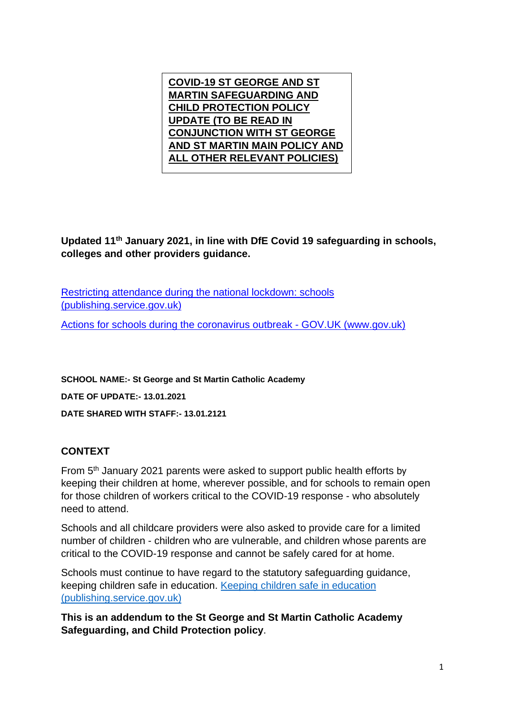

**Updated 11th January 2021, in line with DfE Covid 19 safeguarding in schools, colleges and other providers guidance.**

[Restricting attendance during the national lockdown: schools](https://assets.publishing.service.gov.uk/government/uploads/system/uploads/attachment_data/file/950510/School_national_restrictions_guidance.pdf)  [\(publishing.service.gov.uk\)](https://assets.publishing.service.gov.uk/government/uploads/system/uploads/attachment_data/file/950510/School_national_restrictions_guidance.pdf)

[Actions for schools during the coronavirus outbreak -](https://www.gov.uk/government/publications/actions-for-schools-during-the-coronavirus-outbreak) GOV.UK (www.gov.uk)

**SCHOOL NAME:- St George and St Martin Catholic Academy**

**DATE OF UPDATE:- 13.01.2021**

**DATE SHARED WITH STAFF:- 13.01.2121**

## **CONTEXT**

From 5<sup>th</sup> January 2021 parents were asked to support public health efforts by keeping their children at home, wherever possible, and for schools to remain open for those children of workers critical to the COVID-19 response - who absolutely need to attend.

Schools and all childcare providers were also asked to provide care for a limited number of children - children who are vulnerable, and children whose parents are critical to the COVID-19 response and cannot be safely cared for at home.

Schools must continue to have regard to the statutory safeguarding guidance, keeping children safe in education. [Keeping children safe in education](https://assets.publishing.service.gov.uk/government/uploads/system/uploads/attachment_data/file/912592/Keeping_children_safe_in_education_Sep_2020.pdf)  [\(publishing.service.gov.uk\)](https://assets.publishing.service.gov.uk/government/uploads/system/uploads/attachment_data/file/912592/Keeping_children_safe_in_education_Sep_2020.pdf)

**This is an addendum to the St George and St Martin Catholic Academy Safeguarding, and Child Protection policy**.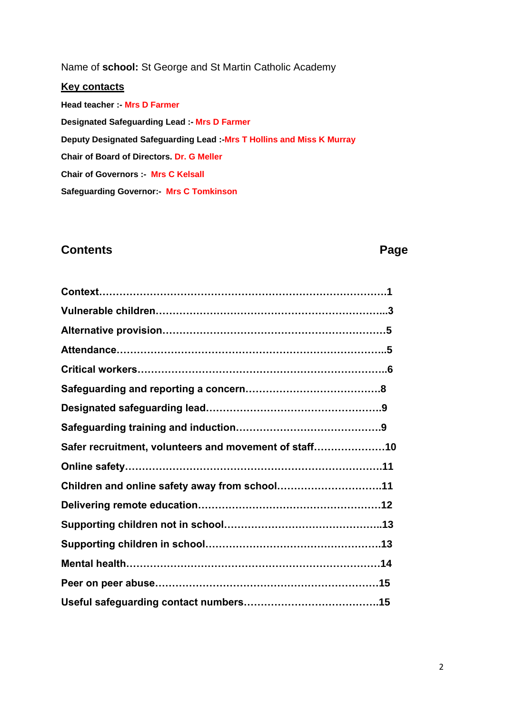Name of **school:** St George and St Martin Catholic Academy

#### **Key contacts**

**Head teacher :- Mrs D Farmer Designated Safeguarding Lead :- Mrs D Farmer Deputy Designated Safeguarding Lead :-Mrs T Hollins and Miss K Murray Chair of Board of Directors. Dr. G Meller Chair of Governors :- Mrs C Kelsall Safeguarding Governor:- Mrs C Tomkinson**

# **Contents** Page

| Safer recruitment, volunteers and movement of staff10 |  |
|-------------------------------------------------------|--|
|                                                       |  |
| Children and online safety away from school11         |  |
|                                                       |  |
|                                                       |  |
|                                                       |  |
|                                                       |  |
|                                                       |  |
|                                                       |  |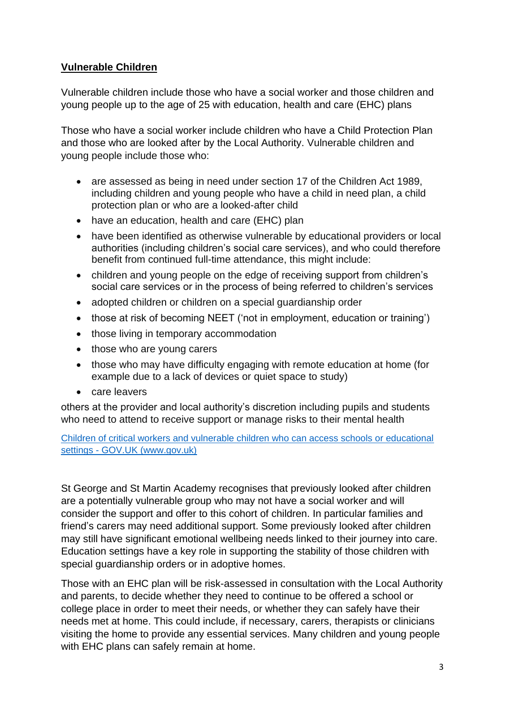## **Vulnerable Children**

Vulnerable children include those who have a social worker and those children and young people up to the age of 25 with education, health and care (EHC) plans

Those who have a social worker include children who have a Child Protection Plan and those who are looked after by the Local Authority. Vulnerable children and young people include those who:

- are assessed as being in need under section 17 of the Children Act 1989, including children and young people who have a child in need plan, a child protection plan or who are a looked-after child
- have an education, health and care (EHC) plan
- have been identified as otherwise vulnerable by educational providers or local authorities (including children's social care services), and who could therefore benefit from continued full-time attendance, this might include:
- children and young people on the edge of receiving support from children's social care services or in the process of being referred to children's services
- adopted children or children on a special quardianship order
- those at risk of becoming NEET ('not in employment, education or training')
- those living in temporary accommodation
- those who are young carers
- those who may have difficulty engaging with remote education at home (for example due to a lack of devices or quiet space to study)
- care leavers

others at the provider and local authority's discretion including pupils and students who need to attend to receive support or manage risks to their mental health

Children of critical workers and vulnerable children who can access schools or educational settings - GOV.UK (www.gov.uk)

St George and St Martin Academy recognises that previously looked after children are a potentially vulnerable group who may not have a social worker and will consider the support and offer to this cohort of children. In particular families and friend's carers may need additional support. Some previously looked after children may still have significant emotional wellbeing needs linked to their journey into care. Education settings have a key role in supporting the stability of those children with special guardianship orders or in adoptive homes.

Those with an EHC plan will be risk-assessed in consultation with the Local Authority and parents, to decide whether they need to continue to be offered a school or college place in order to meet their needs, or whether they can safely have their needs met at home. This could include, if necessary, carers, therapists or clinicians visiting the home to provide any essential services. Many children and young people with EHC plans can safely remain at home.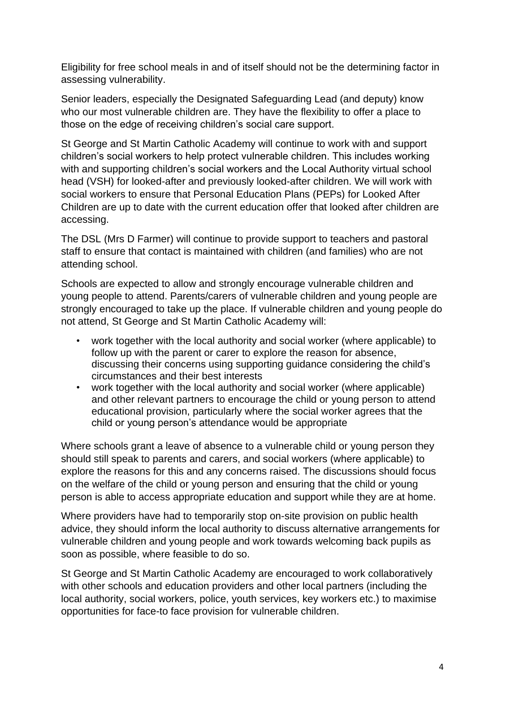Eligibility for free school meals in and of itself should not be the determining factor in assessing vulnerability.

Senior leaders, especially the Designated Safeguarding Lead (and deputy) know who our most vulnerable children are. They have the flexibility to offer a place to those on the edge of receiving children's social care support.

St George and St Martin Catholic Academy will continue to work with and support children's social workers to help protect vulnerable children. This includes working with and supporting children's social workers and the Local Authority virtual school head (VSH) for looked-after and previously looked-after children. We will work with social workers to ensure that Personal Education Plans (PEPs) for Looked After Children are up to date with the current education offer that looked after children are accessing.

The DSL (Mrs D Farmer) will continue to provide support to teachers and pastoral staff to ensure that contact is maintained with children (and families) who are not attending school.

Schools are expected to allow and strongly encourage vulnerable children and young people to attend. Parents/carers of vulnerable children and young people are strongly encouraged to take up the place. If vulnerable children and young people do not attend, St George and St Martin Catholic Academy will:

- work together with the local authority and social worker (where applicable) to follow up with the parent or carer to explore the reason for absence, discussing their concerns using supporting guidance considering the child's circumstances and their best interests
- work together with the local authority and social worker (where applicable) and other relevant partners to encourage the child or young person to attend educational provision, particularly where the social worker agrees that the child or young person's attendance would be appropriate

Where schools grant a leave of absence to a vulnerable child or young person they should still speak to parents and carers, and social workers (where applicable) to explore the reasons for this and any concerns raised. The discussions should focus on the welfare of the child or young person and ensuring that the child or young person is able to access appropriate education and support while they are at home.

Where providers have had to temporarily stop on-site provision on public health advice, they should inform the local authority to discuss alternative arrangements for vulnerable children and young people and work towards welcoming back pupils as soon as possible, where feasible to do so.

St George and St Martin Catholic Academy are encouraged to work collaboratively with other schools and education providers and other local partners (including the local authority, social workers, police, youth services, key workers etc.) to maximise opportunities for face-to face provision for vulnerable children.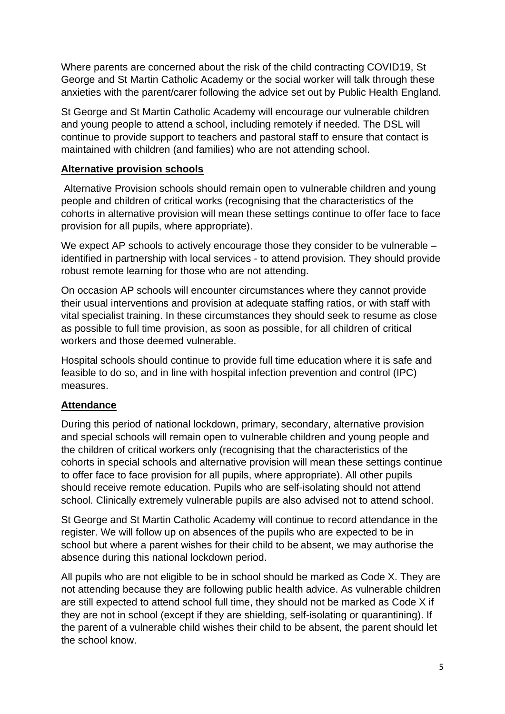Where parents are concerned about the risk of the child contracting COVID19, St George and St Martin Catholic Academy or the social worker will talk through these anxieties with the parent/carer following the advice set out by Public Health England.

St George and St Martin Catholic Academy will encourage our vulnerable children and young people to attend a school, including remotely if needed. The DSL will continue to provide support to teachers and pastoral staff to ensure that contact is maintained with children (and families) who are not attending school.

## **Alternative provision schools**

Alternative Provision schools should remain open to vulnerable children and young people and children of critical works (recognising that the characteristics of the cohorts in alternative provision will mean these settings continue to offer face to face provision for all pupils, where appropriate).

We expect AP schools to actively encourage those they consider to be vulnerable – identified in partnership with local services - to attend provision. They should provide robust remote learning for those who are not attending.

On occasion AP schools will encounter circumstances where they cannot provide their usual interventions and provision at adequate staffing ratios, or with staff with vital specialist training. In these circumstances they should seek to resume as close as possible to full time provision, as soon as possible, for all children of critical workers and those deemed vulnerable.

Hospital schools should continue to provide full time education where it is safe and feasible to do so, and in line with hospital infection prevention and control (IPC) measures.

## **Attendance**

During this period of national lockdown, primary, secondary, alternative provision and special schools will remain open to vulnerable children and young people and the children of critical workers only (recognising that the characteristics of the cohorts in special schools and alternative provision will mean these settings continue to offer face to face provision for all pupils, where appropriate). All other pupils should receive remote education. Pupils who are self-isolating should not attend school. Clinically extremely vulnerable pupils are also advised not to attend school.

St George and St Martin Catholic Academy will continue to record attendance in the register. We will follow up on absences of the pupils who are expected to be in school but where a parent wishes for their child to be absent, we may authorise the absence during this national lockdown period.

All pupils who are not eligible to be in school should be marked as Code X. They are not attending because they are following public health advice. As vulnerable children are still expected to attend school full time, they should not be marked as Code X if they are not in school (except if they are shielding, self-isolating or quarantining). If the parent of a vulnerable child wishes their child to be absent, the parent should let the school know.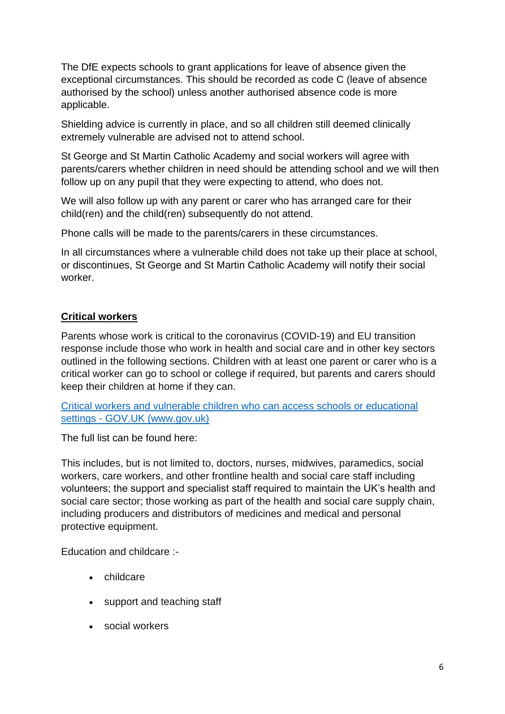The DfE expects schools to grant applications for leave of absence given the exceptional circumstances. This should be recorded as code C (leave of absence authorised by the school) unless another authorised absence code is more applicable.

Shielding advice is currently in place, and so all children still deemed clinically extremely vulnerable are advised not to attend school.

St George and St Martin Catholic Academy and social workers will agree with parents/carers whether children in need should be attending school and we will then follow up on any pupil that they were expecting to attend, who does not.

We will also follow up with any parent or carer who has arranged care for their child(ren) and the child(ren) subsequently do not attend.

Phone calls will be made to the parents/carers in these circumstances.

In all circumstances where a vulnerable child does not take up their place at school, or discontinues, St George and St Martin Catholic Academy will notify their social worker.

#### **Critical workers**

Parents whose work is critical to the coronavirus (COVID-19) and EU transition response include those who work in health and social care and in other key sectors outlined in the following sections. Children with at least one parent or carer who is a critical worker can go to school or college if required, but parents and carers should keep their children at home if they can.

[Critical workers and vulnerable children who can access schools or educational](https://www.gov.uk/government/publications/coronavirus-covid-19-maintaining-educational-provision?utm_source=4%20January%202021%20C19&utm_medium=Daily%20Email%20C19&utm_campaign=DfE%20C19)  settings - [GOV.UK \(www.gov.uk\)](https://www.gov.uk/government/publications/coronavirus-covid-19-maintaining-educational-provision?utm_source=4%20January%202021%20C19&utm_medium=Daily%20Email%20C19&utm_campaign=DfE%20C19)

The full list can be found here:

This includes, but is not limited to, doctors, nurses, midwives, paramedics, social workers, care workers, and other frontline health and social care staff including volunteers; the support and specialist staff required to maintain the UK's health and social care sector; those working as part of the health and social care supply chain, including producers and distributors of medicines and medical and personal protective equipment.

Education and childcare :-

- childcare
- support and teaching staff
- social workers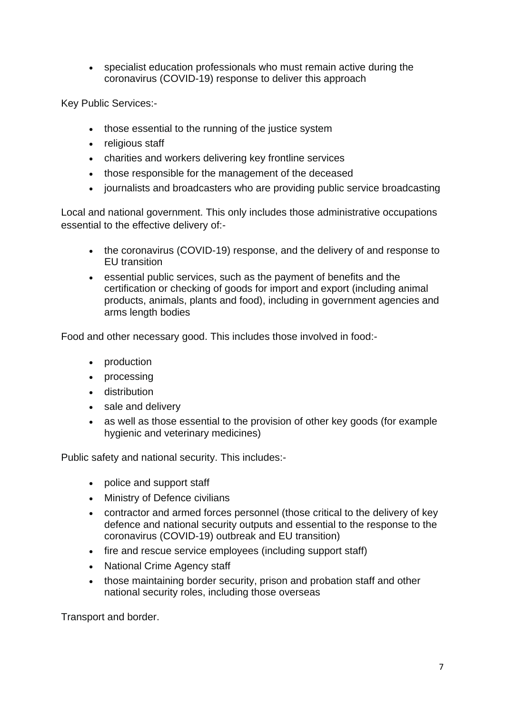specialist education professionals who must remain active during the coronavirus (COVID-19) response to deliver this approach

Key Public Services:-

- those essential to the running of the justice system
- religious staff
- charities and workers delivering key frontline services
- those responsible for the management of the deceased
- journalists and broadcasters who are providing public service broadcasting

Local and national government. This only includes those administrative occupations essential to the effective delivery of:-

- the coronavirus (COVID-19) response, and the delivery of and response to EU transition
- essential public services, such as the payment of benefits and the certification or checking of goods for import and export (including animal products, animals, plants and food), including in government agencies and arms length bodies

Food and other necessary good. This includes those involved in food:-

- production
- processing
- distribution
- sale and delivery
- as well as those essential to the provision of other key goods (for example hygienic and veterinary medicines)

Public safety and national security. This includes:-

- police and support staff
- Ministry of Defence civilians
- contractor and armed forces personnel (those critical to the delivery of key defence and national security outputs and essential to the response to the coronavirus (COVID-19) outbreak and EU transition)
- fire and rescue service employees (including support staff)
- National Crime Agency staff
- those maintaining border security, prison and probation staff and other national security roles, including those overseas

Transport and border.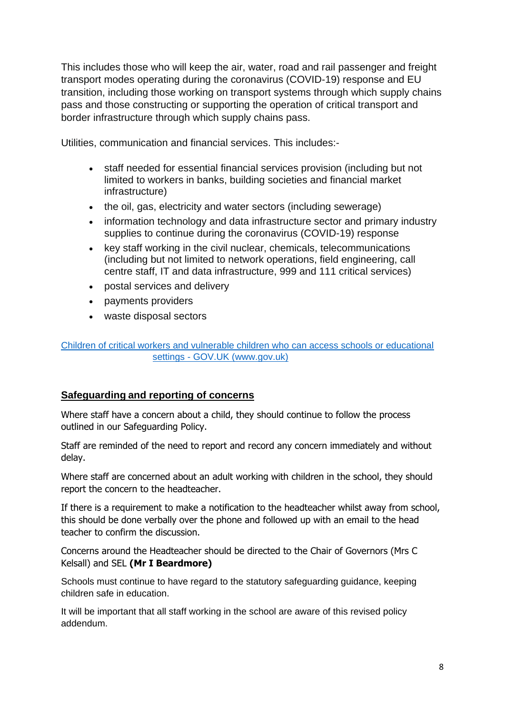This includes those who will keep the air, water, road and rail passenger and freight transport modes operating during the coronavirus (COVID-19) response and EU transition, including those working on transport systems through which supply chains pass and those constructing or supporting the operation of critical transport and border infrastructure through which supply chains pass.

Utilities, communication and financial services. This includes:-

- staff needed for essential financial services provision (including but not limited to workers in banks, building societies and financial market infrastructure)
- the oil, gas, electricity and water sectors (including sewerage)
- information technology and data infrastructure sector and primary industry supplies to continue during the coronavirus (COVID-19) response
- key staff working in the civil nuclear, chemicals, telecommunications (including but not limited to network operations, field engineering, call centre staff, IT and data infrastructure, 999 and 111 critical services)
- postal services and delivery
- payments providers
- waste disposal sectors

[Children of critical workers and vulnerable children who can access schools or educational](https://www.gov.uk/government/publications/coronavirus-covid-19-maintaining-educational-provision/guidance-for-schools-colleges-and-local-authorities-on-maintaining-educational-provision)  settings - [GOV.UK \(www.gov.uk\)](https://www.gov.uk/government/publications/coronavirus-covid-19-maintaining-educational-provision/guidance-for-schools-colleges-and-local-authorities-on-maintaining-educational-provision)

## **Safeguarding and reporting of concerns**

Where staff have a concern about a child, they should continue to follow the process outlined in our Safeguarding Policy.

Staff are reminded of the need to report and record any concern immediately and without delay.

Where staff are concerned about an adult working with children in the school, they should report the concern to the headteacher.

If there is a requirement to make a notification to the headteacher whilst away from school, this should be done verbally over the phone and followed up with an email to the head teacher to confirm the discussion.

Concerns around the Headteacher should be directed to the Chair of Governors (Mrs C Kelsall) and SEL **(Mr I Beardmore)**

Schools must continue to have regard to the statutory safeguarding guidance, keeping children safe in education.

It will be important that all staff working in the school are aware of this revised policy addendum.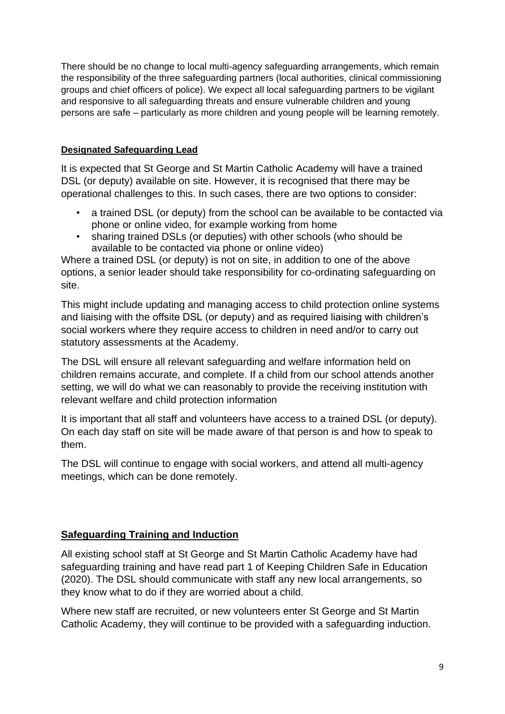There should be no change to local multi-agency safeguarding arrangements, which remain the responsibility of the three safeguarding partners (local authorities, clinical commissioning groups and chief officers of police). We expect all local safeguarding partners to be vigilant and responsive to all safeguarding threats and ensure vulnerable children and young persons are safe – particularly as more children and young people will be learning remotely.

#### **Designated Safeguarding Lead**

It is expected that St George and St Martin Catholic Academy will have a trained DSL (or deputy) available on site. However, it is recognised that there may be operational challenges to this. In such cases, there are two options to consider:

- a trained DSL (or deputy) from the school can be available to be contacted via phone or online video, for example working from home
- sharing trained DSLs (or deputies) with other schools (who should be available to be contacted via phone or online video)

Where a trained DSL (or deputy) is not on site, in addition to one of the above options, a senior leader should take responsibility for co-ordinating safeguarding on site.

This might include updating and managing access to child protection online systems and liaising with the offsite DSL (or deputy) and as required liaising with children's social workers where they require access to children in need and/or to carry out statutory assessments at the Academy.

The DSL will ensure all relevant safeguarding and welfare information held on children remains accurate, and complete. If a child from our school attends another setting, we will do what we can reasonably to provide the receiving institution with relevant welfare and child protection information

It is important that all staff and volunteers have access to a trained DSL (or deputy). On each day staff on site will be made aware of that person is and how to speak to them.

The DSL will continue to engage with social workers, and attend all multi-agency meetings, which can be done remotely.

### **Safeguarding Training and Induction**

All existing school staff at St George and St Martin Catholic Academy have had safeguarding training and have read part 1 of Keeping Children Safe in Education (2020). The DSL should communicate with staff any new local arrangements, so they know what to do if they are worried about a child.

Where new staff are recruited, or new volunteers enter St George and St Martin Catholic Academy, they will continue to be provided with a safeguarding induction.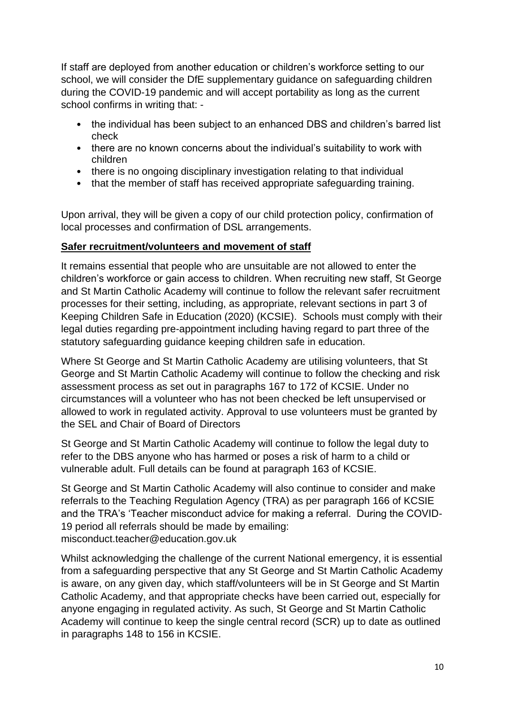If staff are deployed from another education or children's workforce setting to our school, we will consider the DfE supplementary guidance on safeguarding children during the COVID-19 pandemic and will accept portability as long as the current school confirms in writing that: -

- the individual has been subject to an enhanced DBS and children's barred list check
- there are no known concerns about the individual's suitability to work with children
- there is no ongoing disciplinary investigation relating to that individual
- that the member of staff has received appropriate safeguarding training.

Upon arrival, they will be given a copy of our child protection policy, confirmation of local processes and confirmation of DSL arrangements.

#### **Safer recruitment/volunteers and movement of staff**

It remains essential that people who are unsuitable are not allowed to enter the children's workforce or gain access to children. When recruiting new staff, St George and St Martin Catholic Academy will continue to follow the relevant safer recruitment processes for their setting, including, as appropriate, relevant sections in part 3 of Keeping Children Safe in Education (2020) (KCSIE). Schools must comply with their legal duties regarding pre-appointment including having regard to part three of the statutory safeguarding guidance keeping children safe in education.

Where St George and St Martin Catholic Academy are utilising volunteers, that St George and St Martin Catholic Academy will continue to follow the checking and risk assessment process as set out in paragraphs 167 to 172 of KCSIE. Under no circumstances will a volunteer who has not been checked be left unsupervised or allowed to work in regulated activity. Approval to use volunteers must be granted by the SEL and Chair of Board of Directors

St George and St Martin Catholic Academy will continue to follow the legal duty to refer to the DBS anyone who has harmed or poses a risk of harm to a child or vulnerable adult. Full details can be found at paragraph 163 of KCSIE.

St George and St Martin Catholic Academy will also continue to consider and make referrals to the Teaching Regulation Agency (TRA) as per paragraph 166 of KCSIE and the TRA's 'Teacher misconduct advice for making a referral. During the COVID-19 period all referrals should be made by emailing: misconduct.teacher@education.gov.uk

Whilst acknowledging the challenge of the current National emergency, it is essential from a safeguarding perspective that any St George and St Martin Catholic Academy is aware, on any given day, which staff/volunteers will be in St George and St Martin Catholic Academy, and that appropriate checks have been carried out, especially for anyone engaging in regulated activity. As such, St George and St Martin Catholic Academy will continue to keep the single central record (SCR) up to date as outlined in paragraphs 148 to 156 in KCSIE.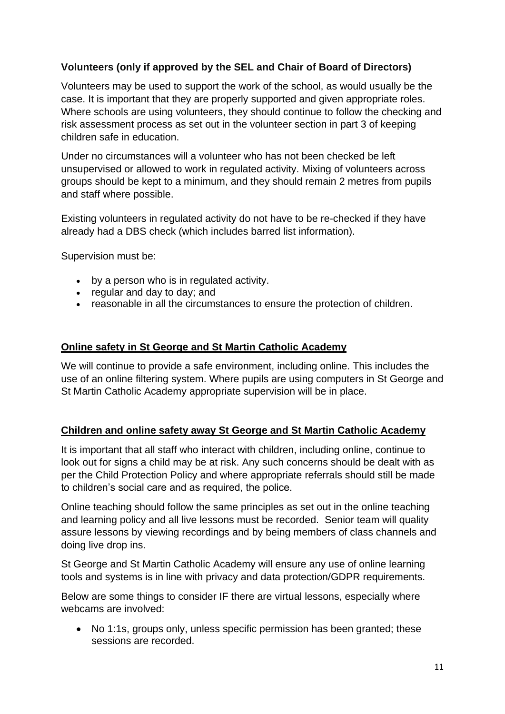## **Volunteers (only if approved by the SEL and Chair of Board of Directors)**

Volunteers may be used to support the work of the school, as would usually be the case. It is important that they are properly supported and given appropriate roles. Where schools are using volunteers, they should continue to follow the checking and risk assessment process as set out in the volunteer section in part 3 of keeping children safe in education.

Under no circumstances will a volunteer who has not been checked be left unsupervised or allowed to work in regulated activity. Mixing of volunteers across groups should be kept to a minimum, and they should remain 2 metres from pupils and staff where possible.

Existing volunteers in regulated activity do not have to be re-checked if they have already had a DBS check (which includes barred list information).

Supervision must be:

- by a person who is in regulated activity.
- regular and day to day; and
- reasonable in all the circumstances to ensure the protection of children.

#### **Online safety in St George and St Martin Catholic Academy**

We will continue to provide a safe environment, including online. This includes the use of an online filtering system. Where pupils are using computers in St George and St Martin Catholic Academy appropriate supervision will be in place.

#### **Children and online safety away St George and St Martin Catholic Academy**

It is important that all staff who interact with children, including online, continue to look out for signs a child may be at risk. Any such concerns should be dealt with as per the Child Protection Policy and where appropriate referrals should still be made to children's social care and as required, the police.

Online teaching should follow the same principles as set out in the online teaching and learning policy and all live lessons must be recorded. Senior team will quality assure lessons by viewing recordings and by being members of class channels and doing live drop ins.

St George and St Martin Catholic Academy will ensure any use of online learning tools and systems is in line with privacy and data protection/GDPR requirements.

Below are some things to consider IF there are virtual lessons, especially where webcams are involved:

• No 1:1s, groups only, unless specific permission has been granted; these sessions are recorded.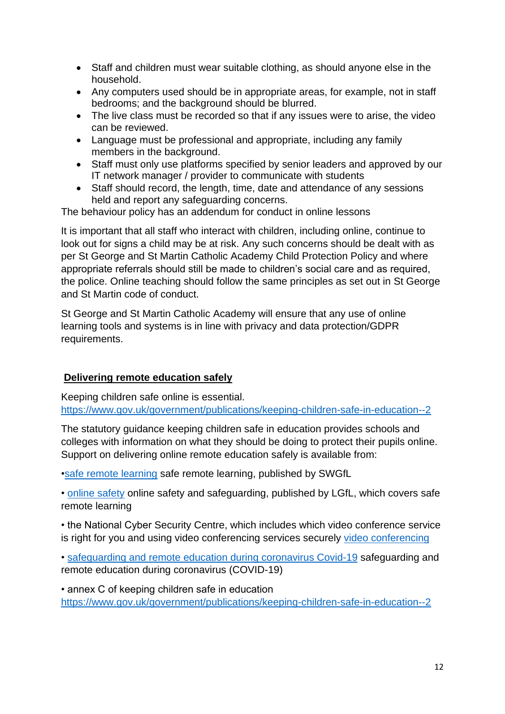- Staff and children must wear suitable clothing, as should anyone else in the household.
- Any computers used should be in appropriate areas, for example, not in staff bedrooms; and the background should be blurred.
- The live class must be recorded so that if any issues were to arise, the video can be reviewed.
- Language must be professional and appropriate, including any family members in the background.
- Staff must only use platforms specified by senior leaders and approved by our IT network manager / provider to communicate with students
- Staff should record, the length, time, date and attendance of any sessions held and report any safeguarding concerns.

The behaviour policy has an addendum for conduct in online lessons

It is important that all staff who interact with children, including online, continue to look out for signs a child may be at risk. Any such concerns should be dealt with as per St George and St Martin Catholic Academy Child Protection Policy and where appropriate referrals should still be made to children's social care and as required, the police. Online teaching should follow the same principles as set out in St George and St Martin code of conduct.

St George and St Martin Catholic Academy will ensure that any use of online learning tools and systems is in line with privacy and data protection/GDPR requirements.

### **Delivering remote education safely**

Keeping children safe online is essential. [https://www.gov.uk/government/publications/keeping-children-safe-in-education--2](file:///C:/Users/ibeardmore/AppData/Local/Microsoft/Windows/INetCache/Content.Outlook/CAQ4F446/keeping%20children%20safe%20in%20education)

The statutory guidance keeping children safe in education provides schools and colleges with information on what they should be doing to protect their pupils online. Support on delivering online remote education safely is available from:

[•safe remote learning](file:///C:/Users/ibeardmore/AppData/Local/Microsoft/Windows/INetCache/Content.Outlook/CAQ4F446/safe%20remote%20learning) safe remote learning, published by SWGfL

• [online safety](file:///C:/Users/ibeardmore/AppData/Local/Microsoft/Windows/INetCache/Content.Outlook/CAQ4F446/online%20safety) online safety and safeguarding, published by LGfL, which covers safe remote learning

• the National Cyber Security Centre, which includes which video conference service is right for you and using video conferencing services securely [video conferencing](file:///C:/Users/ibeardmore/AppData/Local/Microsoft/Windows/INetCache/Content.Outlook/CAQ4F446/video%20conferencing)

• [safeguarding and remote education during coronavirus Covid-19](file:///C:/Users/ibeardmore/AppData/Local/Microsoft/Windows/INetCache/Content.Outlook/CAQ4F446/safeguarding%20and%20remote%20education%20during%20coronavirus%20Covid-19) safeguarding and remote education during coronavirus (COVID-19)

• annex C of keeping children safe in education [https://www.gov.uk/government/publications/keeping-children-safe-in-education--2](file:///C:/Users/ibeardmore/AppData/Local/Microsoft/Windows/INetCache/Content.Outlook/CAQ4F446/keeping%20children%20safe%20in%20education)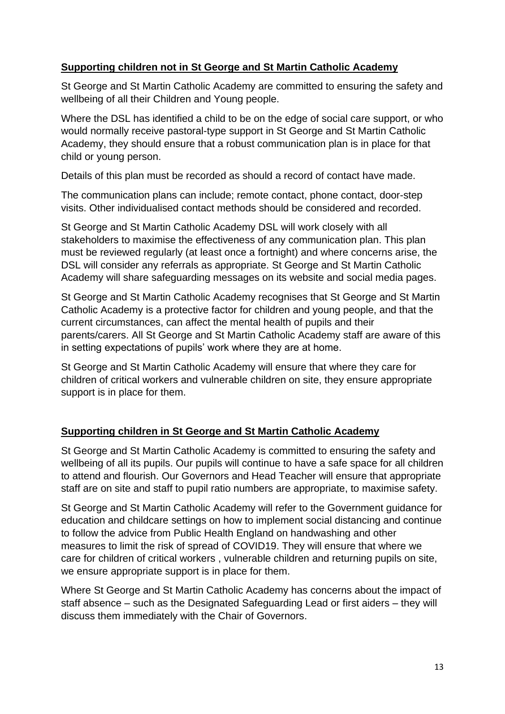## **Supporting children not in St George and St Martin Catholic Academy**

St George and St Martin Catholic Academy are committed to ensuring the safety and wellbeing of all their Children and Young people.

Where the DSL has identified a child to be on the edge of social care support, or who would normally receive pastoral-type support in St George and St Martin Catholic Academy, they should ensure that a robust communication plan is in place for that child or young person.

Details of this plan must be recorded as should a record of contact have made.

The communication plans can include; remote contact, phone contact, door-step visits. Other individualised contact methods should be considered and recorded.

St George and St Martin Catholic Academy DSL will work closely with all stakeholders to maximise the effectiveness of any communication plan. This plan must be reviewed regularly (at least once a fortnight) and where concerns arise, the DSL will consider any referrals as appropriate. St George and St Martin Catholic Academy will share safeguarding messages on its website and social media pages.

St George and St Martin Catholic Academy recognises that St George and St Martin Catholic Academy is a protective factor for children and young people, and that the current circumstances, can affect the mental health of pupils and their parents/carers. All St George and St Martin Catholic Academy staff are aware of this in setting expectations of pupils' work where they are at home.

St George and St Martin Catholic Academy will ensure that where they care for children of critical workers and vulnerable children on site, they ensure appropriate support is in place for them.

## **Supporting children in St George and St Martin Catholic Academy**

St George and St Martin Catholic Academy is committed to ensuring the safety and wellbeing of all its pupils. Our pupils will continue to have a safe space for all children to attend and flourish. Our Governors and Head Teacher will ensure that appropriate staff are on site and staff to pupil ratio numbers are appropriate, to maximise safety.

St George and St Martin Catholic Academy will refer to the Government guidance for education and childcare settings on how to implement social distancing and continue to follow the advice from Public Health England on handwashing and other measures to limit the risk of spread of COVID19. They will ensure that where we care for children of critical workers , vulnerable children and returning pupils on site, we ensure appropriate support is in place for them.

Where St George and St Martin Catholic Academy has concerns about the impact of staff absence – such as the Designated Safeguarding Lead or first aiders – they will discuss them immediately with the Chair of Governors.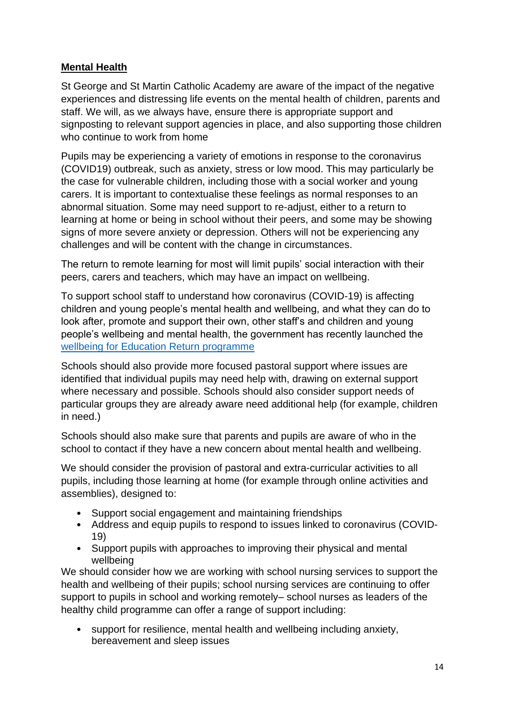## **Mental Health**

St George and St Martin Catholic Academy are aware of the impact of the negative experiences and distressing life events on the mental health of children, parents and staff. We will, as we always have, ensure there is appropriate support and signposting to relevant support agencies in place, and also supporting those children who continue to work from home

Pupils may be experiencing a variety of emotions in response to the coronavirus (COVID19) outbreak, such as anxiety, stress or low mood. This may particularly be the case for vulnerable children, including those with a social worker and young carers. It is important to contextualise these feelings as normal responses to an abnormal situation. Some may need support to re-adjust, either to a return to learning at home or being in school without their peers, and some may be showing signs of more severe anxiety or depression. Others will not be experiencing any challenges and will be content with the change in circumstances.

The return to remote learning for most will limit pupils' social interaction with their peers, carers and teachers, which may have an impact on wellbeing.

To support school staff to understand how coronavirus (COVID-19) is affecting children and young people's mental health and wellbeing, and what they can do to look after, promote and support their own, other staff's and children and young people's wellbeing and mental health, the government has recently launched the [wellbeing for Education Return programme](file:///C:/Users/ibeardmore/AppData/Local/Microsoft/Windows/INetCache/Content.Outlook/CAQ4F446/wellbeing%20for%20Education%20Return%20programme)

Schools should also provide more focused pastoral support where issues are identified that individual pupils may need help with, drawing on external support where necessary and possible. Schools should also consider support needs of particular groups they are already aware need additional help (for example, children in need.)

Schools should also make sure that parents and pupils are aware of who in the school to contact if they have a new concern about mental health and wellbeing.

We should consider the provision of pastoral and extra-curricular activities to all pupils, including those learning at home (for example through online activities and assemblies), designed to:

- Support social engagement and maintaining friendships
- Address and equip pupils to respond to issues linked to coronavirus (COVID-19)
- Support pupils with approaches to improving their physical and mental wellbeing

We should consider how we are working with school nursing services to support the health and wellbeing of their pupils; school nursing services are continuing to offer support to pupils in school and working remotely– school nurses as leaders of the healthy child programme can offer a range of support including:

• support for resilience, mental health and wellbeing including anxiety, bereavement and sleep issues